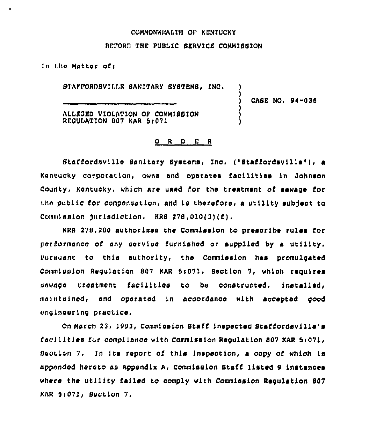#### COMMONWEALTH OF KENTUCKY

### BEPORE THE PVBLIC SERVICE COMMISSION

(n tho Matter cfi

 $\ddot{\phantom{a}}$ 

STAFFORDSVILLE SANITARY SYSTEMS, INC.

CASE NO» 94-035

)

ALLEQED VIOLATION OP COMMISBION REOULATION 807 KAR 5<071

#### 0 <sup>R</sup> <sup>D</sup> E <sup>R</sup>

Staffordsville Sanitary Systems, Inc. ("Staffordsville"), a Kentucky corporation, owns and operates facilities in Johnson County, Kentucky, which are used for the treatment of sewage for the public for compensation, and is therefore, a utility subject to Commission jurisdiction. KRS  $278.010(3)(f)$ ,

KRB 278,280 authorizes the Commission to prescribe rules for performance of any service furnishod cr supplied by a utility, Pursuant to this authority, the Commission has promulgated Commission Requlation 807 KAR 5:071, Section 7, which requires sewage treatment facilities to be constructed, installed, maintained, and operated in accordance with accepted good engineering practice,

On March 23, 1993, Commission Staff inspected Staffcrdsville's facilities for compliance with Commission Requlation 807 KAR 5:071, Section 7, In its ropcrt cf this inspection, <sup>a</sup> copy of which is appended hereto as Appendix A, Commission Btaff listed 9 instances where the utility failed to comply with Commission Regulation 807 KAR 5>071> Section 7.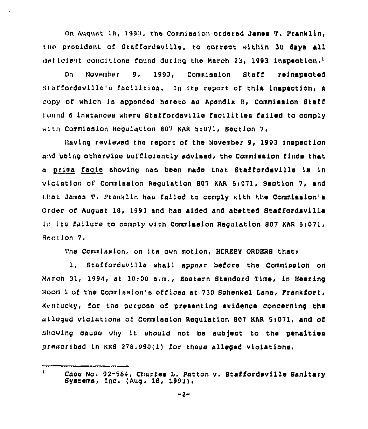On August 18, 1993, the Commission ordered James T. Franklin, the president of Staffordsville, to correct within 30 days all deficient conditions found during the March 23, 1993 inspection, $<sup>1</sup>$ </sup>

On November 9, 1993, Commission Staff reinspected Staffordsville's facilities. In its report of this inspection, a copy cf which ls appended hereto as Apendlx 8, Commission Staff found <sup>6</sup> instances where Staffordsville facilities failed to comply with Commission Requlation 807 KAR 5:071, Section 7,

))avlng reviewed the report of the November 9, 1993 inspection and being otherwise sufficiently advised, the Commission finds that » prima facie showing has been made that Stal'fordsvl11e ls in vlolatlon of Commission Regulation 807 KAR 5)071, Section 7, and that James T. Franklin has failed to comply with the Commission's Order of August 18, 1993 and has aided and abetted Staffordsville in its failure to comply with Commission Regulation 807 KAR 5:071, Section 7.

The Commission, on its own motion, HEREBY ORDERS that:

1. Staffordsville shall appear before the Commission on March 31, 1994, at 10>00 a.m., Eastern Standard Time, in Hearing Room 1 of the Commission's offices at 730 Schenkel Lane, Frankfort, Kentucky, for the purpose of presenting evidence conoernlng the alleged violations of Commission Regulation 807 KAR 5:071, and of showing cause why it should not be subject to the penalties prescribed in KRS 278.990(1} for these alleged violations,

Case No. 92-564, Charles I. Patton v. Staffordsvlile Sanitary Systems> Inc. (Aug. 18, 1993}.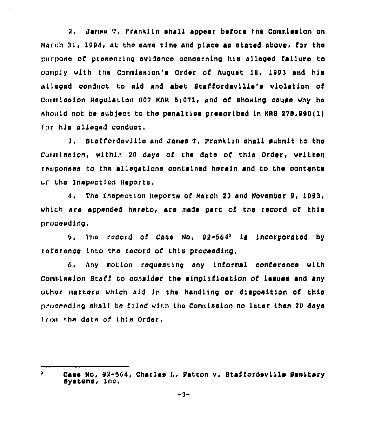2, James T, Sranklln sha11 appear before the Commission on March 31, 1994, at the same time and place as stated above, for the purpose of presenting evidenoe oonaernlng his alleged failure to comply with the Commission's Order of August 18, 1993 and his alleged oonduot to aid and abet Staffordsvllle's vio1atlon of Commission Requlation 807 KAR 5:071, and of showing cause why he should not be subject to the penalties prescribed in KRS 278.990(1) for his alleged conduct.

3. Staffordsvl11e and James T, Pranklln shall submit to the Commission, within 20 days of the date of this Order, written responses to the allegations oontalned hnreln and to the oontents uf the Inspection Reports.

4. The Inspection Reports of March 23 and November 9, 1993, which are appended hereto, are made part of the record of this praceeding.

5. The record of Case No.  $92-564^2$  is incorporated by raference into the record of this proceeding,

G, Any motion requesting any informal oonferenoe with Commission Staff to oonslder the simpllfioatlon of issues and any other matters which aid in the handling or disposition of this prnoeedlng shall be filed with the Commission no later than 20 days from the date of this Order.

Z. Case No. 92-564, Charles L. Patton v. Staffordsville Sanitary Systems, inc,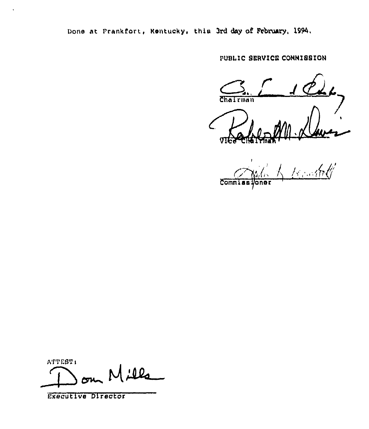Done at Frankfort, Rentucky, this 3rd day of February, 1994.

PUBLIC SERVICE CONNISSION

Chairman

tse ohdi **Commiss** 

ATTEST: Mills

Executive Director

 $\bar{\mathbf{v}}$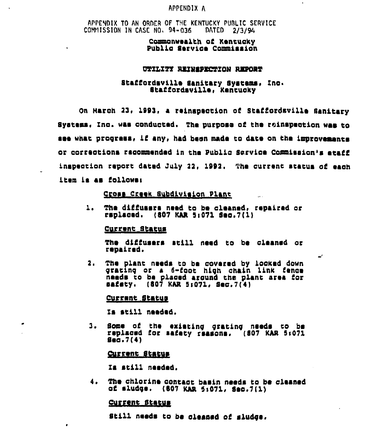### APPENDIX A

# APPENDIX TO AN ORDER OF THE KENTUCKY PUBLIC SERVICE COMMISSION IN CASE NO. 94-036 DATED 2/3/94

### Commonwealth of Kentucky Public Service Commission

### UTILITY REINSPECTION REPORT

### Staffordsville Sanitary Systems, Inc. Staffordsville, Kentucky

On March 23, 1993, a reinspection of Staffordsville Sanitary Svatems. Inc. was conducted. The purpose of the roinspection was to see what progress, if any, had been made to date on the improvements or corrections recommended in the Public Service Commission's etaff inspection report dated July 22, 1992. The current status of each item is as follows:

 $\mathbb{R}^2$ 

 $\overline{\phantom{a}}$ 

# Cross Creek Subdivision Plant

 $1.$ The diffusers need to be cleaned, repaired or rsplaced. (807 KAR 5:071 Sec.7(1)

#### <u>Current Status</u>

The diffusers still need to be cleaned or repaired.

The plant needs to be covered by locked down  $2.$ grating or a 6-foot high chain link fence needs to be placed around the plant area for  $\texttt{badety.}$  (807 KAR 5:071, Sec.7(4)

#### Current Status

Is still needed.

Some of the existing grating needs to be<br>replaced for safety reasons. (807 KAR 5:071 з.  $g_{00}, 7(4)$ 

#### <u>Current Status</u>

Is still needed.

4. The chlorine contact basin needs to be cleaned of sludge. (607 KAR 5:071, Sec.7(1)

#### Current Status

 $\bullet$ 

Still needs to be cleaned of sludge.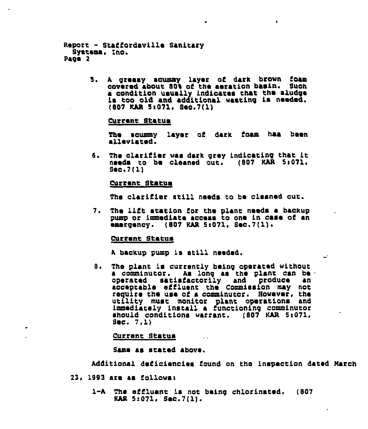```
Report - StaCCordaville Sanitary
  Systems. Inc.
page 2
```
5. <sup>A</sup> greasy scummy layer oC dark brown Coam covered about 801 of the aeration basin. Such a condition usually indioates that the sludge ia too old and additional wasting ia needed. (807 KAR 5:071, Sec. 7(1)

Current Status

The scummy layer oC dark Coam haa been alleviated.

 $\bullet$ 

6. The clarifier was dark grey indicating that it needs to bs cleaned out. (807 KAR Si071, Seo. <sup>7</sup> (1)

#### Currant Status

The clarifier still needs to be cleaned out.

7. The lift station for the plant needs a backup pump or immediate access to one in case of an <sup>~</sup>msrgsncy. (807 KAR SI071, Sec.7(1).

#### Current Status

<sup>A</sup> baokup pump is still needed.

8. The plant is currently being operated without a comminutor. As long as the plant can be operated satiaCactorily and produce an acceptable effluent the Commission may not require the use of a comminutor. However, the<br>utility must monitor plant operations and immediately install a functioning comminuto should conditions warrant. (807 KAR 5:071,<br>Sec. 7,1)

Current Status

Same as stated above.

Additional deficiencies found on the inspection dated March

- 23, 1993 are as Collowss
	- 1-A The effluent is not being chlorinated. (807 KAR 5:071, Sec.7(1).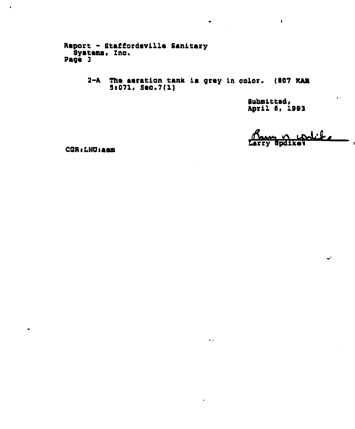Report - Staffordsville Sanitary<br>Systems, Inc.<br>Page 3

2-A The aeration tank is grey in color. (807 KAR 5:071, Sec.7(1)

 $\dot{\mathbf{r}}$  .

Submitted.<br>April 6, 1993

 $\hat{\mathbf{r}}$ 

 $\sqrt{2}$ **AFFY Npdike** 

 $\ddot{\phantom{a}}$ 

 $\mathbf{r}$ 

CGR: LNU: aem

 $\ddot{\phantom{0}}$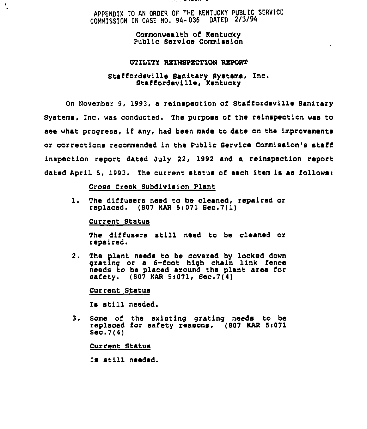# APPENDIX TO AN ORDER OF THE KENTUCKY PUBLIC SERVICE COMMISSION IN CASE NO. 94- 036 DATED 2/3/94

### Commonwealth of Kentucky Public Service Commission

#### UTILITY REINSPECTION REPORT

### Staffordsville Sanitary Systems, Inc. Staffordeville, Kentucky

On November 9, 1993, a reinspection of Staffordsville Sanitary Systems, Inc. was conducted. The purpose of the reinspection was to see what progress, if any, had been made to date on the improvements or corrections recommended in the Public Service Commission'e staff inspection report dated July 22, 1992 and a reinspection report dated April 6, 1993. The current status of each item is as follows:

### Cross Creek Subdivision Plant

1. The diffusers need to be cleaned, repaired or replaced. (807 KAR Si071 Sec.7(l)

### Current Status

 $\frac{1}{2}$ 

The diffusers still need to be cleaned or repaired.

2. The plant needs to be covered by locked down grating or a 6-foot high chain link fence needs to be placed around the plant area for safety. (807 KAR St071, Sec.7(4)

Current Status

Is still needed.

3. Some of the existing grating needs to be replaced for safety reasons. (807 KAR 5i071 Sec.7(4)

Current Status

Is still needed.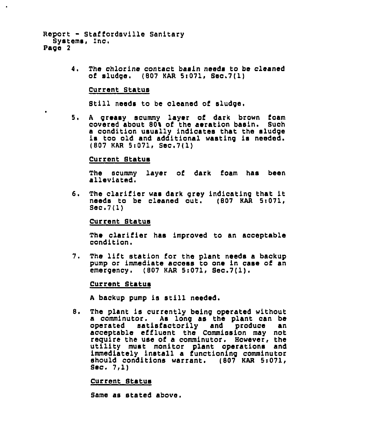```
Report - Staffordsville Sanitary<br>Systems, Inc.
Page 2
```
The chlorine contact basin needs to be cleaned 4. of sludge.  $(807 \text{ KAR } 5:071, \text{ Sec. } 7(1))$ 

### Current Status

Still needs to be cleaned of sludge.

5. A greasy scummy layer of dark brown foam covered about 801 of the aeration basin. Such <sup>a</sup> condition usually indicates that the sludge is too old and additional wasting is needed. (807 KAR 5i071, Sec.7(1)

#### Current Status

The scummy layer of dark foam has been alleviated.

6. The clarifier was dark grey indicating that it needs to be cleaned out. (807 KAR 5:071,  $\texttt{Sec.7(1)}$ 

#### Current Status

The clarifier has improved to an acceptable condition.

7. The lift station for the plant needs a backup pump or immediate access to one in case of an emergency. (807 KAR 5:071, Sec.7(1).

#### Current Status

<sup>A</sup> backup pump is still needed.

The plant is currently being operated without 8. a comminutor. As long as the plant can be operated satisfactorily and produce an acceptable effluent the Commission may not require the use of a comminutor. However, the utility must monitor plant operations and immediately install a functioning comminutor should conditions warrant. (807 KAR 5:071,<br>Sec. 7,1)

Current Status

Same as stated above.